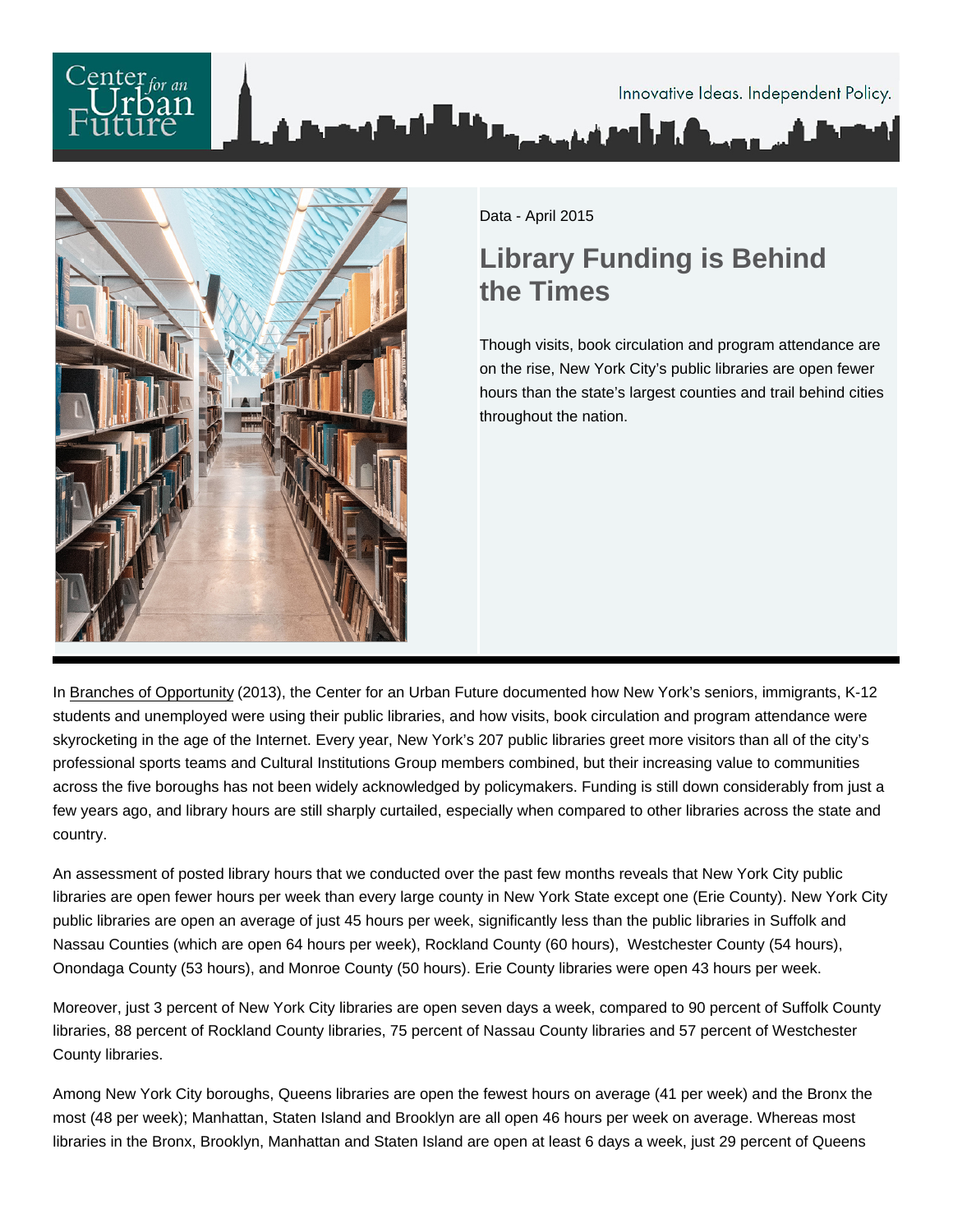Data - April 2015

# Library Funding is Behind the Times

Though visits, book circulation and program attendance are on the rise, New York City's public libraries are open fewer hours than the state's largest counties and trail behind cities throughout the nation.

In [Branches of Opportunity](https://nycfuture.org/research/publications/branches-of-opportunity) (2013), the Center for an Urban Future documented how New York's seniors, immigrants, K-12 students and unemployed were using their public libraries, and how visits, book circulation and program attendance were skyrocketing in the age of the Internet. Every year, New York's 207 public libraries greet more visitors than all of the city's professional sports teams and Cultural Institutions Group members combined, but their increasing value to communities across the five boroughs has not been widely acknowledged by policymakers. Funding is still down considerably from just a few years ago, and library hours are still sharply curtailed, especially when compared to other libraries across the state and country.

An assessment of posted library hours that we conducted over the past few months reveals that New York City public libraries are open fewer hours per week than every large county in New York State except one (Erie County). New York City public libraries are open an average of just 45 hours per week, significantly less than the public libraries in Suffolk and Nassau Counties (which are open 64 hours per week), Rockland County (60 hours), Westchester County (54 hours), Onondaga County (53 hours), and Monroe County (50 hours). Erie County libraries were open 43 hours per week.

Moreover, just 3 percent of New York City libraries are open seven days a week, compared to 90 percent of Suffolk County libraries, 88 percent of Rockland County libraries, 75 percent of Nassau County libraries and 57 percent of Westchester County libraries.

Among New York City boroughs, Queens libraries are open the fewest hours on average (41 per week) and the Bronx the most (48 per week); Manhattan, Staten Island and Brooklyn are all open 46 hours per week on average. Whereas most libraries in the Bronx, Brooklyn, Manhattan and Staten Island are open at least 6 days a week, just 29 percent of Queens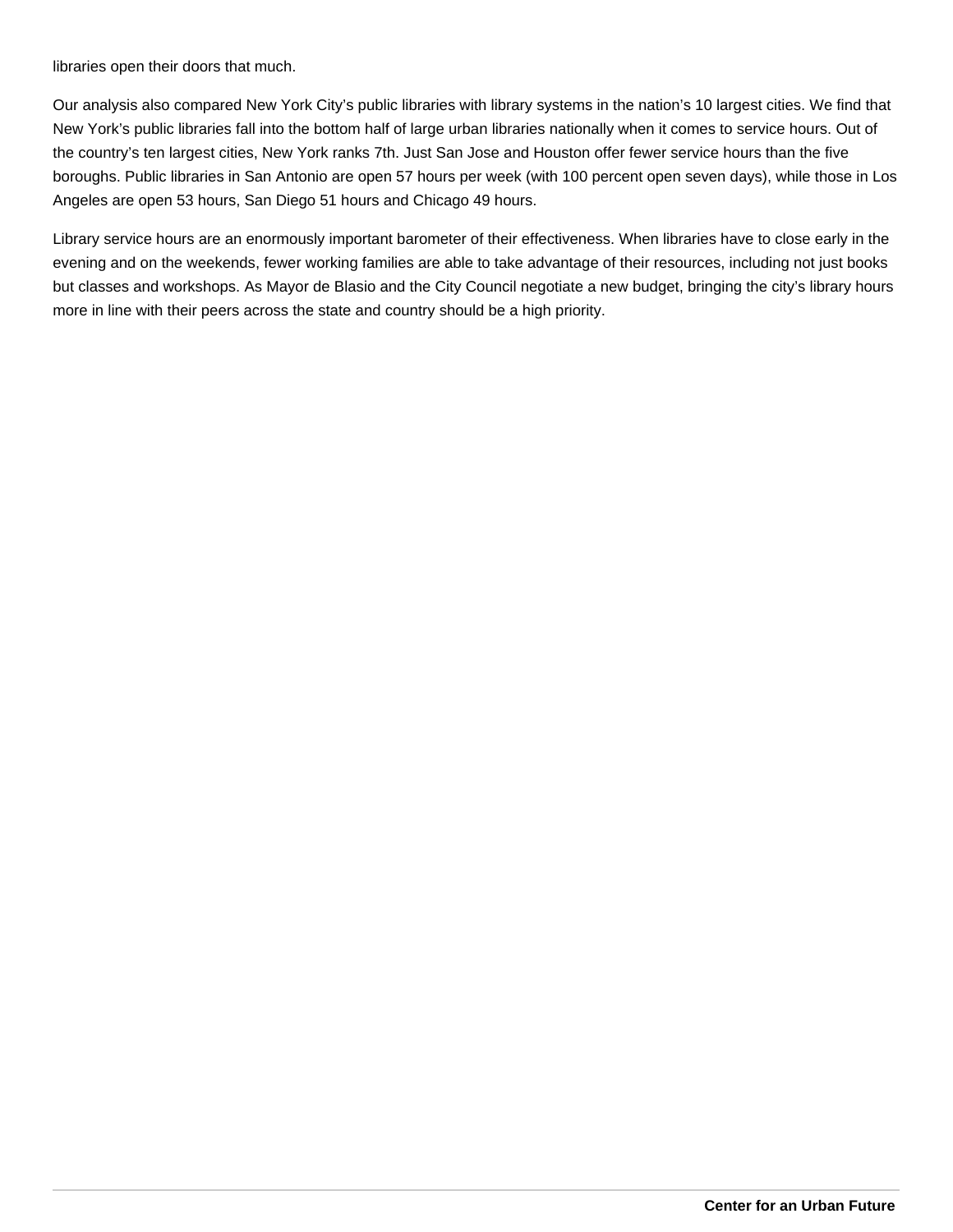libraries open their doors that much.

Our analysis also compared New York City's public libraries with library systems in the nation's 10 largest cities. We find that New York's public libraries fall into the bottom half of large urban libraries nationally when it comes to service hours. Out of the country's ten largest cities, New York ranks 7th. Just San Jose and Houston offer fewer service hours than the five boroughs. Public libraries in San Antonio are open 57 hours per week (with 100 percent open seven days), while those in Los Angeles are open 53 hours, San Diego 51 hours and Chicago 49 hours.

Library service hours are an enormously important barometer of their effectiveness. When libraries have to close early in the evening and on the weekends, fewer working families are able to take advantage of their resources, including not just books but classes and workshops. As Mayor de Blasio and the City Council negotiate a new budget, bringing the city's library hours more in line with their peers across the state and country should be a high priority.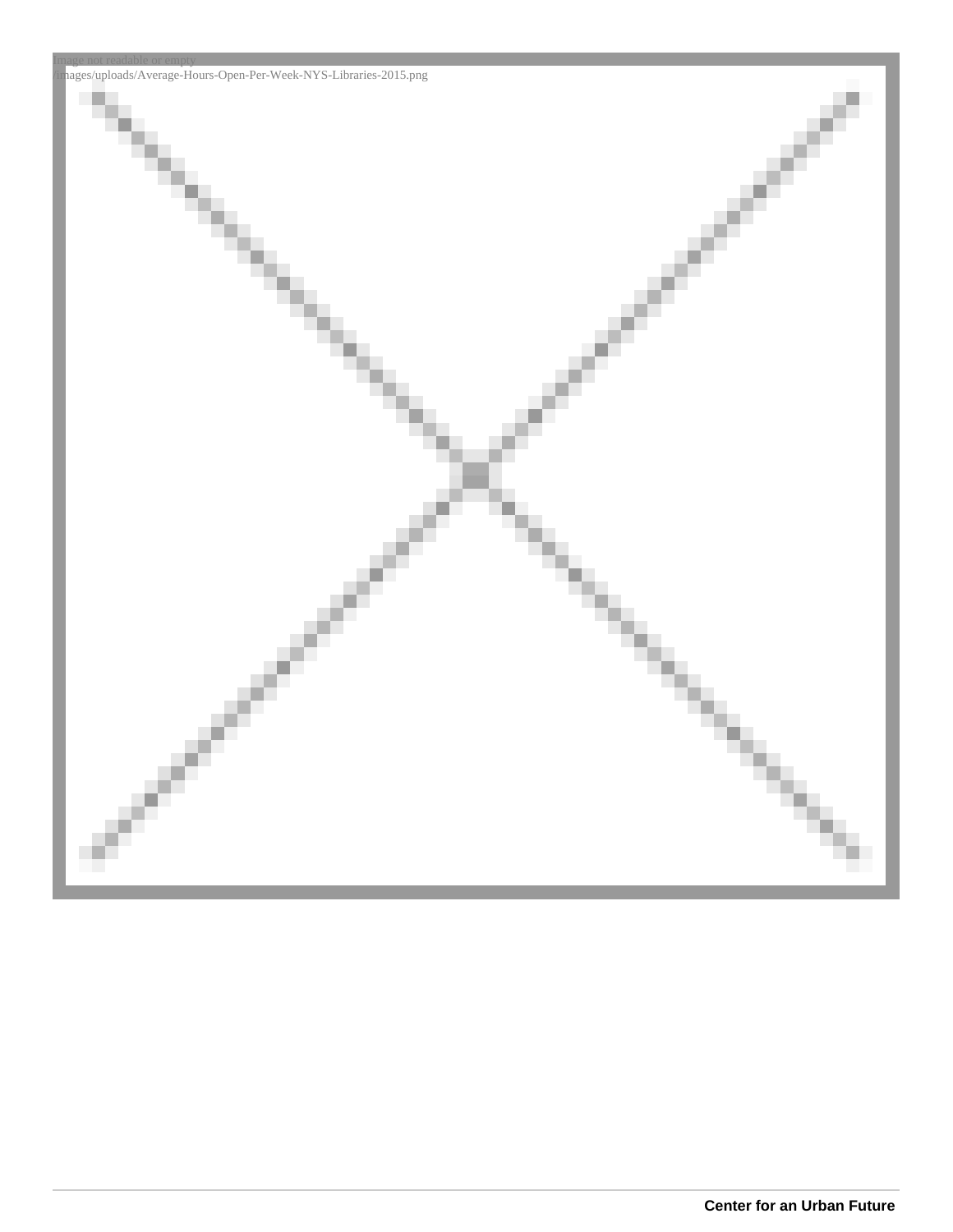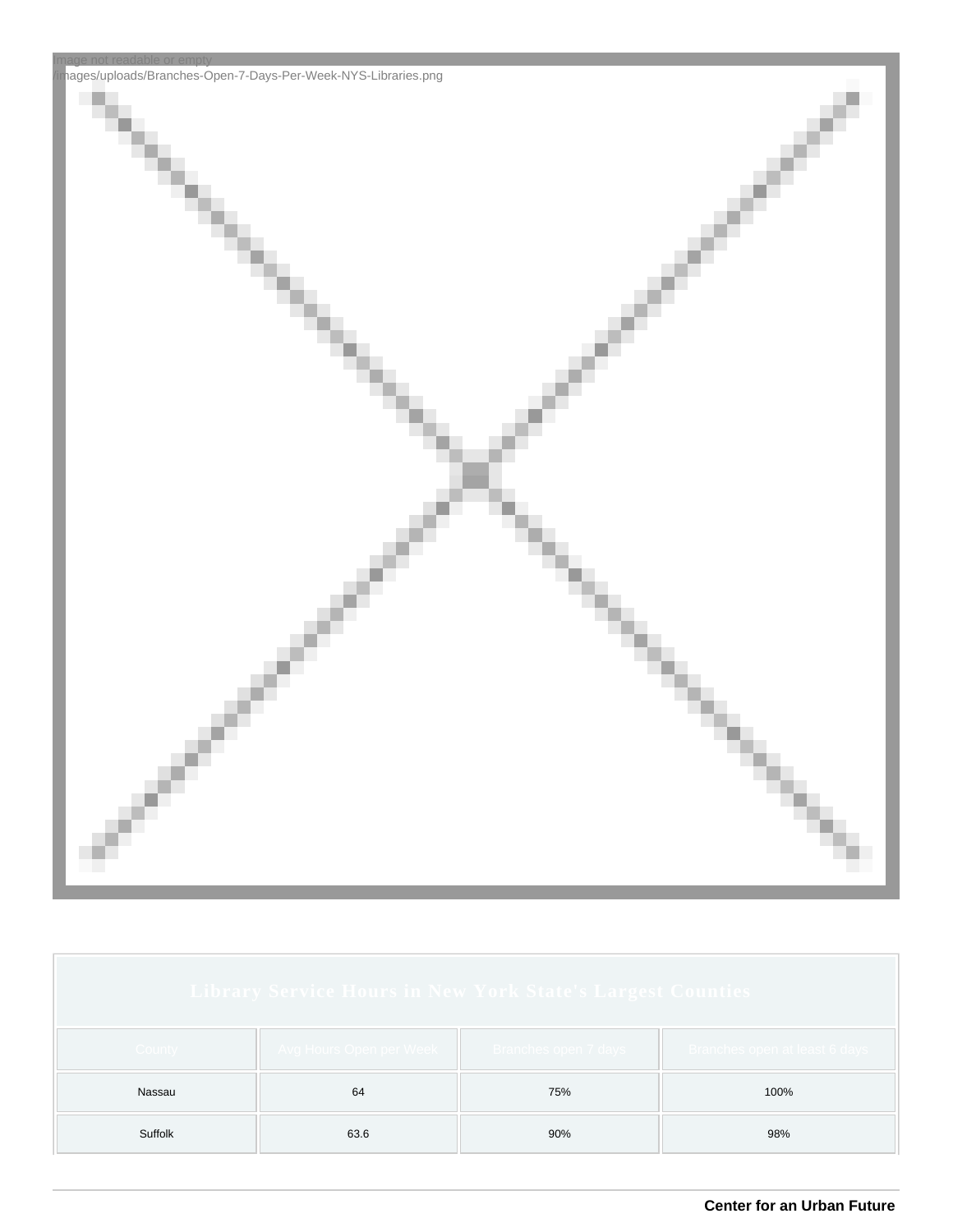

| Library Service Hours in New York State's Largest Counties |                         |                      |                               |
|------------------------------------------------------------|-------------------------|----------------------|-------------------------------|
| County                                                     | Avg Hours Open per Week | Branches open 7 days | Branches open at least 6 days |
| Nassau                                                     | 64                      | 75%                  | 100%                          |
| Suffolk                                                    | 63.6                    | 90%                  | 98%                           |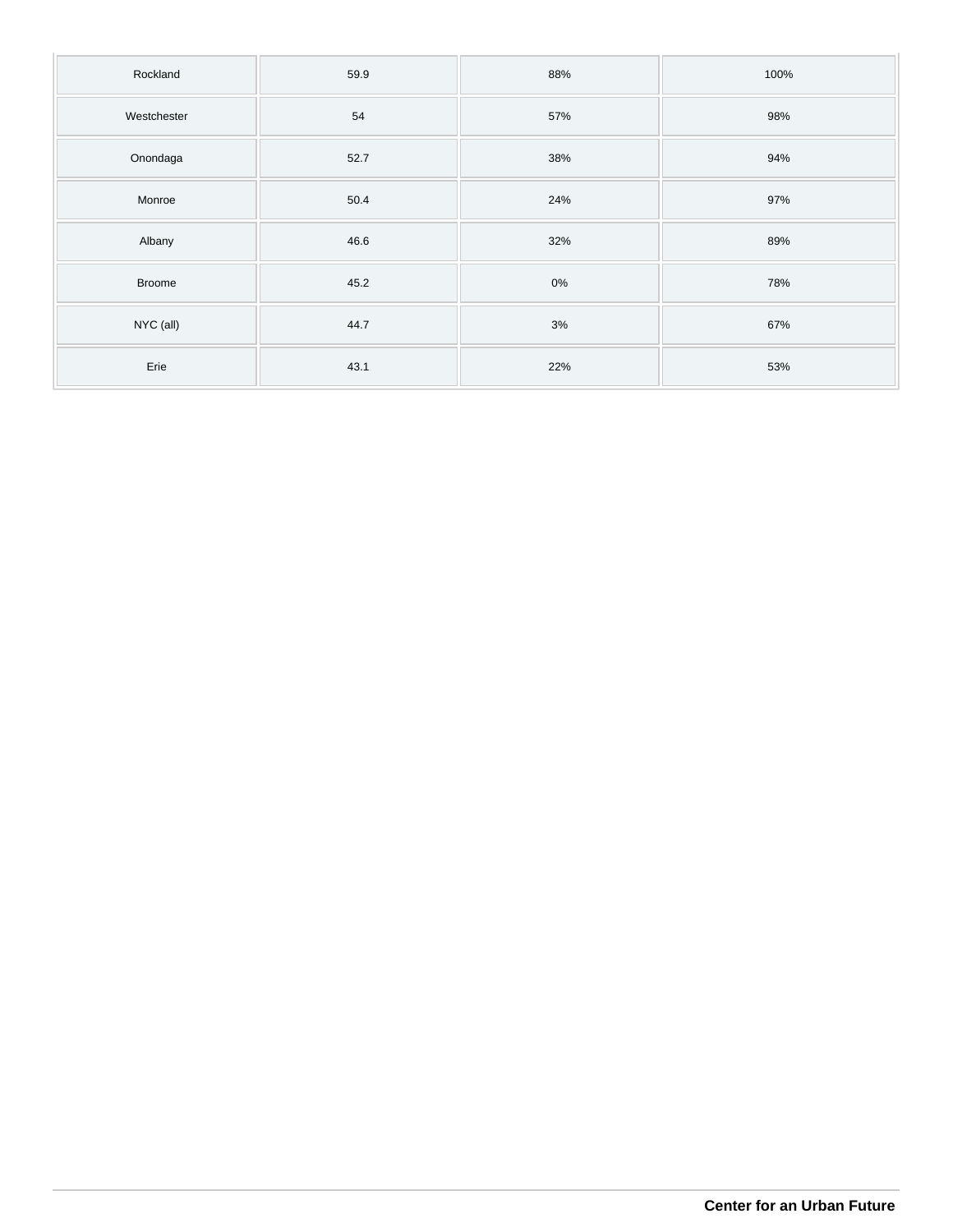| Rockland      | 59.9 | 88%   | 100% |
|---------------|------|-------|------|
| Westchester   | 54   | 57%   | 98%  |
| Onondaga      | 52.7 | 38%   | 94%  |
| Monroe        | 50.4 | 24%   | 97%  |
| Albany        | 46.6 | 32%   | 89%  |
| <b>Broome</b> | 45.2 | $0\%$ | 78%  |
| NYC (all)     | 44.7 | 3%    | 67%  |
| Erie          | 43.1 | 22%   | 53%  |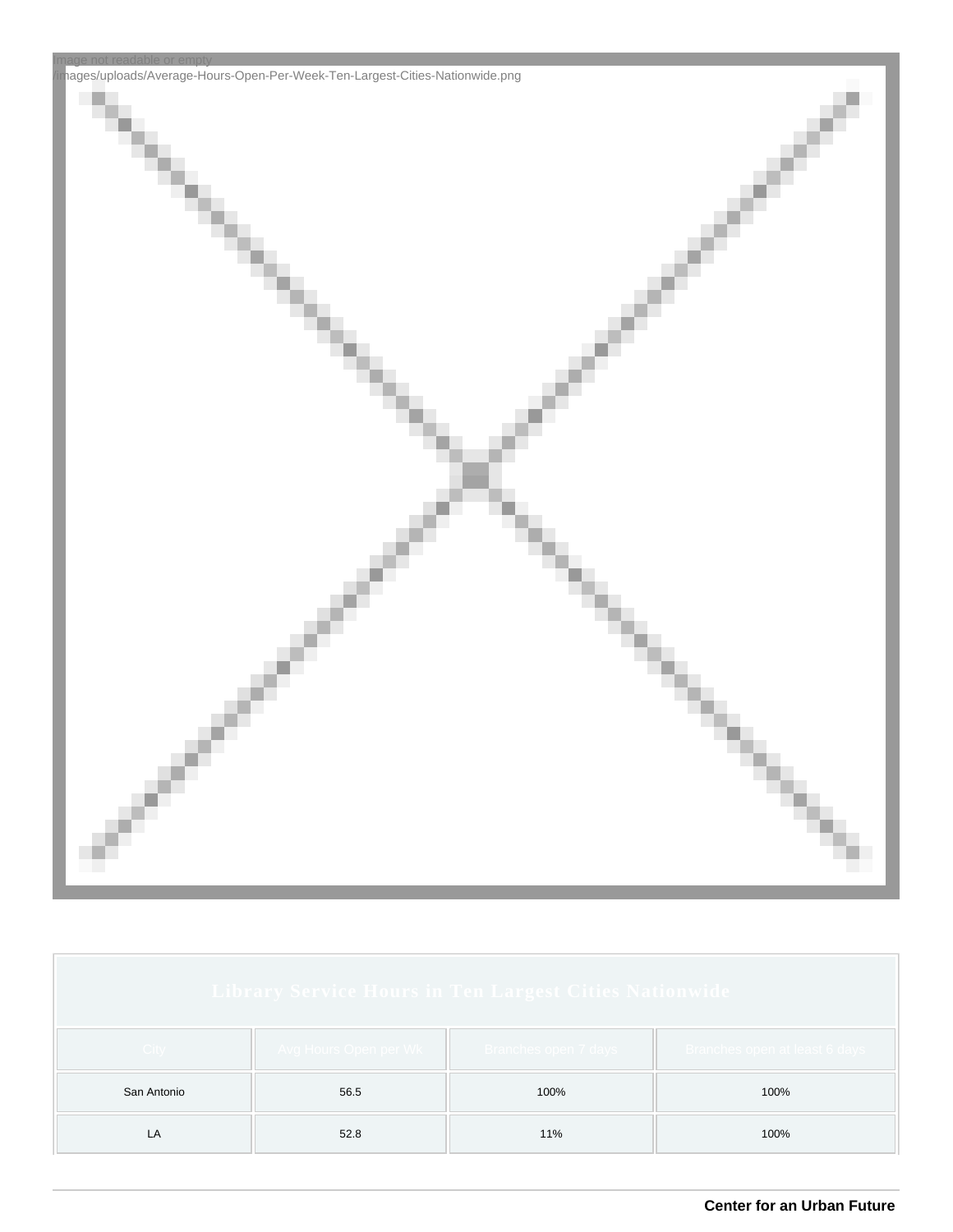

| Library Service Hours in Ten Largest Cities Nationwide |                       |                      |                               |
|--------------------------------------------------------|-----------------------|----------------------|-------------------------------|
| City                                                   | Avg Hours Open per Wk | Branches open 7 days | Branches open at least 6 days |
| San Antonio                                            | 56.5                  | 100%                 | 100%                          |
| LA                                                     | 52.8                  | 11%                  | 100%                          |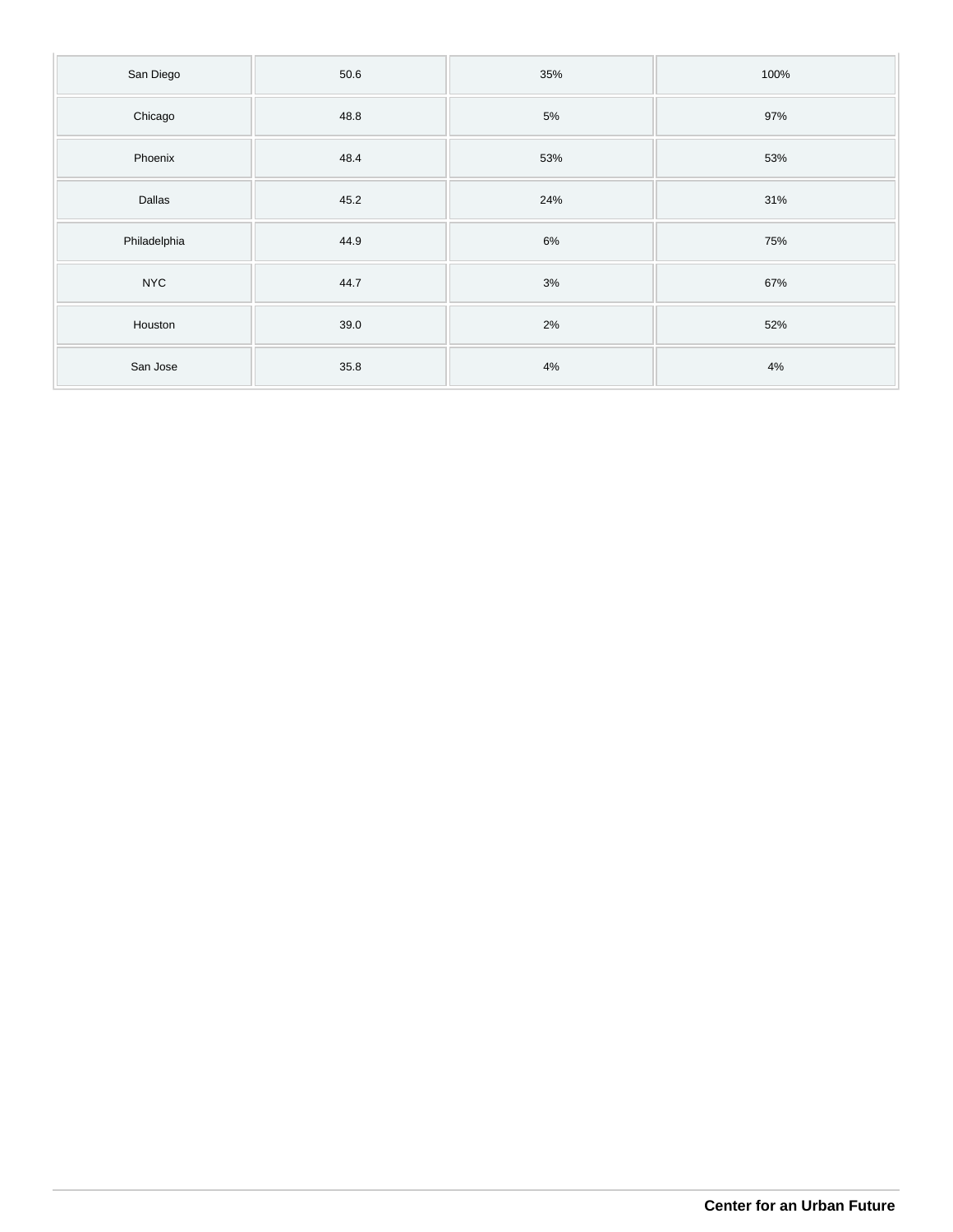| San Diego    | 50.6 | 35% | 100% |
|--------------|------|-----|------|
| Chicago      | 48.8 | 5%  | 97%  |
| Phoenix      | 48.4 | 53% | 53%  |
| Dallas       | 45.2 | 24% | 31%  |
| Philadelphia | 44.9 | 6%  | 75%  |
| <b>NYC</b>   | 44.7 | 3%  | 67%  |
| Houston      | 39.0 | 2%  | 52%  |
| San Jose     | 35.8 | 4%  | 4%   |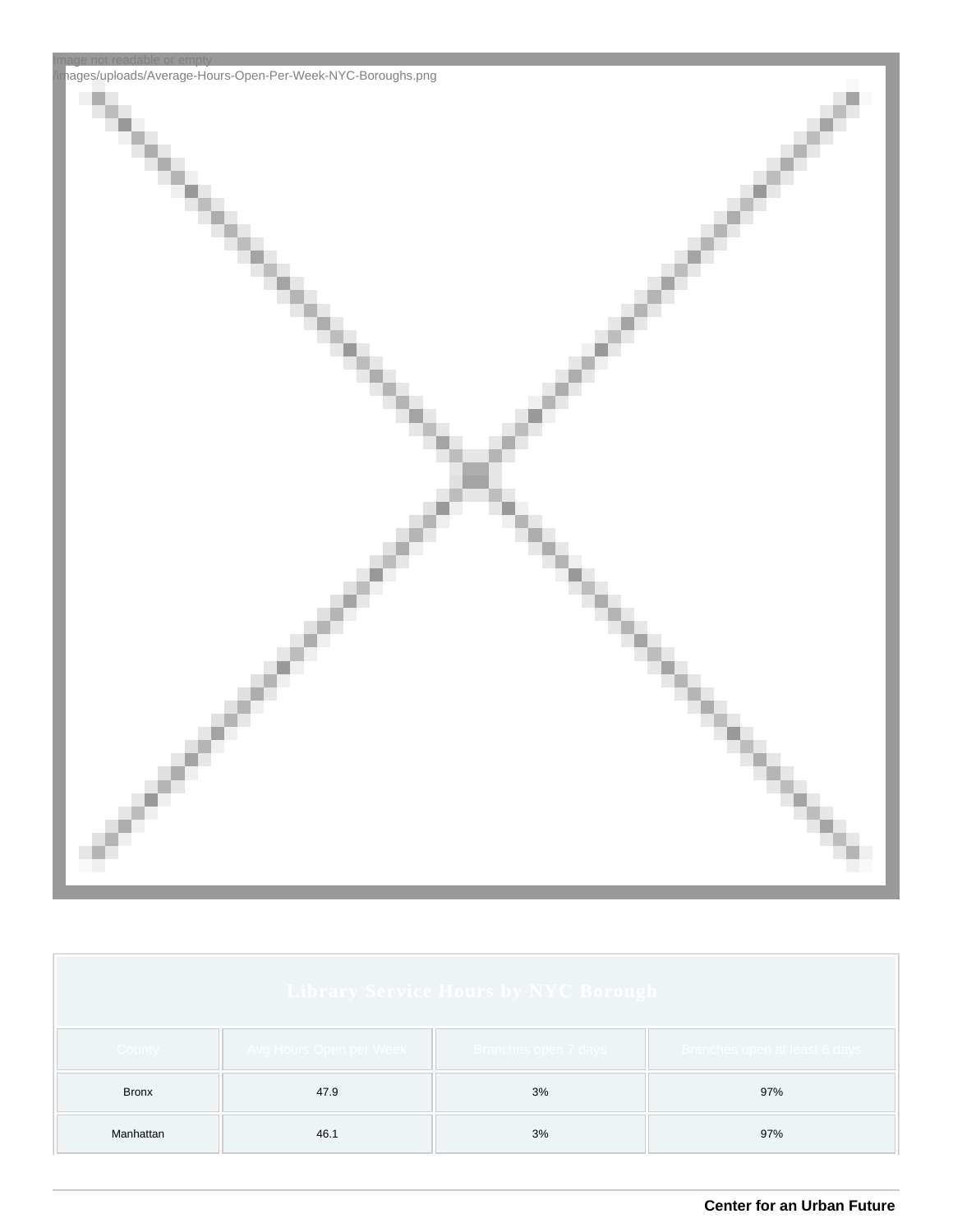

| Library Service Hours by NYC Borough |                         |                      |                               |
|--------------------------------------|-------------------------|----------------------|-------------------------------|
| County                               | Avg Hours Open per Week | Branches open 7 days | Branches open at least 6 days |
| <b>Bronx</b>                         | 47.9                    | 3%                   | 97%                           |
| Manhattan                            | 46.1                    | 3%                   | 97%                           |

**The Company**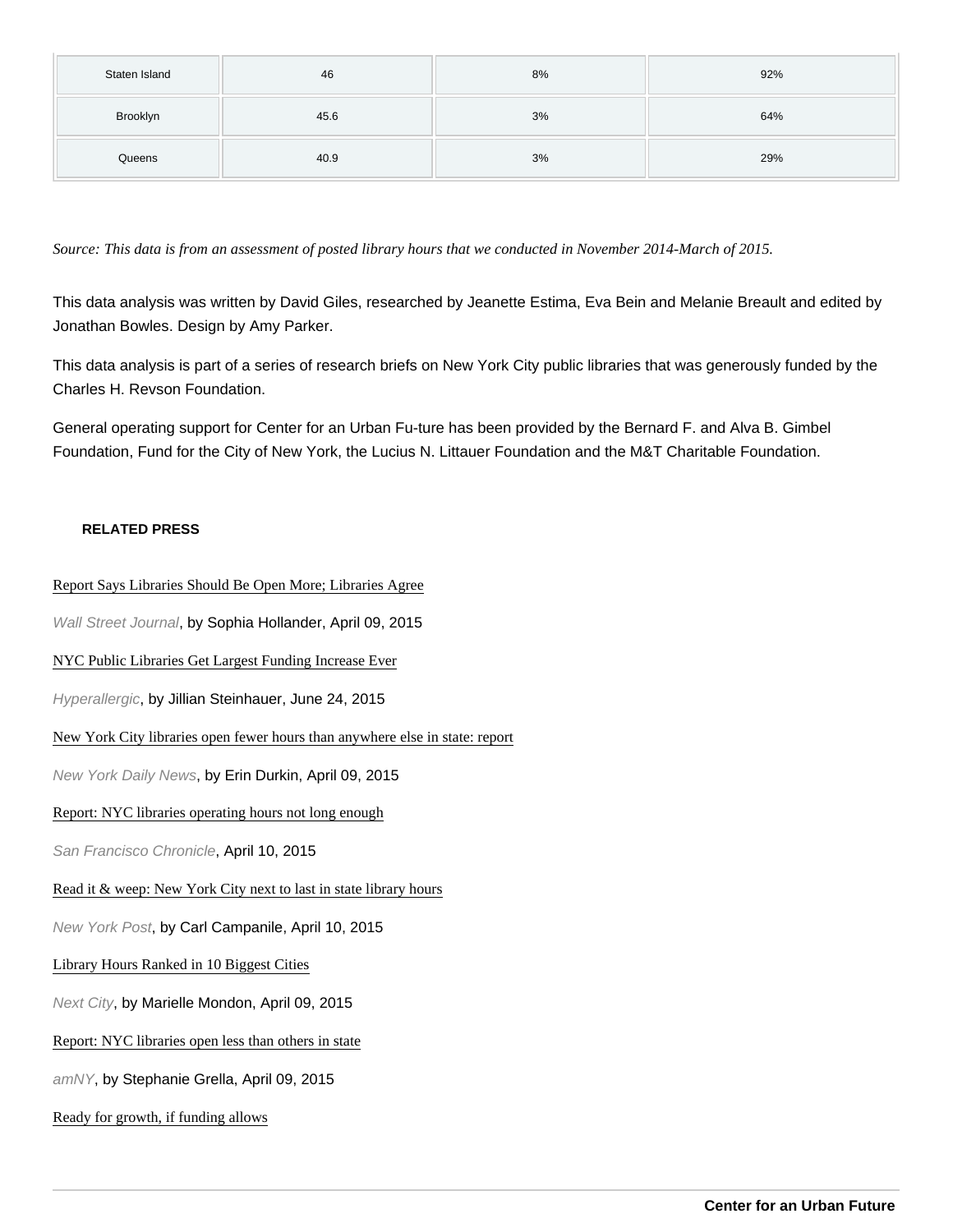| Staten Island | 46   | 8% | 92% |
|---------------|------|----|-----|
| Brooklyn      | 45.6 | 3% | 64% |
| Queens        | 40.9 | 3% | 29% |

Source: This data is from an assessment of posted library hours that we conducted in November 2014-March of 2015.

This data analysis was written by David Giles, researched by Jeanette Estima, Eva Bein and Melanie Breault and edited by Jonathan Bowles. Design by Amy Parker.

This data analysis is part of a series of research briefs on New York City public libraries that was generously funded by the Charles H. Revson Foundation.

General operating support for Center for an Urban Fu-ture has been provided by the Bernard F. and Alva B. Gimbel Foundation, Fund for the City of New York, the Lucius N. Littauer Foundation and the M&T Charitable Foundation.

## RELATED PRESS

[Report Says Libraries Should Be Open More; Libraries A](http://www.wsj.com/articles/report-says-new-york-city-libraries-should-be-open-more-libraries-agree-1428625533)gree

Wall Street Journal, by Sophia Hollander, April 09, 2015

[NYC Public Libraries Get Largest Funding Increase E](http://hyperallergic.com/217213/nyc-public-libraries-get-largest-funding-increase-ever/)ver

Hyperallergic, by Jillian Steinhauer, June 24, 2015

[New York City libraries open fewer hours than anywhere else in state:](http://www.nydailynews.com/news/politics/nyc-libraries-open-hours-rest-state-report-article-1.2180139) report

New York Daily News, by Erin Durkin, April 09, 2015

## [Report: NYC libraries operating hours not long eno](http://www.sfgate.com/news/article/Report-NYC-libraries-operating-hours-not-long-6191312.php)ugh

San Francisco Chronicle, April 10, 2015

## [Read it & weep: New York City next to last in state library h](http://nypost.com/2015/04/10/read-it-weep-new-york-city-next-to-last-in-state-library-hours/)ours

New York Post, by Carl Campanile, April 10, 2015

[Library Hours Ranked in 10 Biggest Cit](http://nextcity.org/daily/entry/library-hours-big-cities-ranking-new-york-open)ies

Next City, by Marielle Mondon, April 09, 2015

## [Report: NYC libraries open less than others in s](http://www.amny.com/news/nyc-libraries-open-less-than-others-in-new-york-1.10231214)tate

amNY, by Stephanie Grella, April 09, 2015

## [Ready for growth, if funding allow](http://www.qchron.com/editions/queenswide/ready-for-growth-if-funding-allows/article_a331c711-09d2-52d8-a853-8e202f304c94.html)s